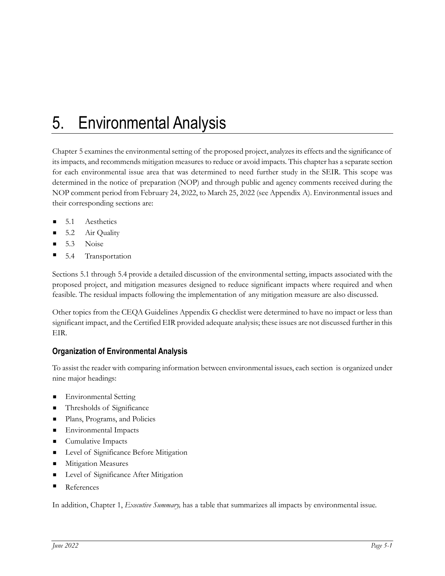## 5. Environmental Analysis

Chapter 5 examines the environmental setting of the proposed project, analyzes its effects and the significance of its impacts, and recommends mitigation measures to reduce or avoid impacts. This chapter has a separate section for each environmental issue area that was determined to need further study in the SEIR. This scope was determined in the notice of preparation (NOP) and through public and agency comments received during the NOP comment period from February 24, 2022, to March 25, 2022 (see Appendix A). Environmental issues and their corresponding sections are:

- 5.1 Aesthetics
- 5.2 Air Quality
- 5.3 Noise
- 5.4 Transportation

Sections 5.1 through 5.4 provide a detailed discussion of the environmental setting, impacts associated with the proposed project, and mitigation measures designed to reduce significant impacts where required and when feasible. The residual impacts following the implementation of any mitigation measure are also discussed.

Other topics from the CEQA Guidelines Appendix G checklist were determined to have no impact or less than significant impact, and the Certified EIR provided adequate analysis; these issues are not discussed further in this EIR.

## **Organization of Environmental Analysis**

To assist the reader with comparing information between environmental issues, each section is organized under nine major headings:

- Environmental Setting
- **Thresholds of Significance**
- **Plans, Programs, and Policies**
- **Environmental Impacts**
- Cumulative Impacts
- **Level of Significance Before Mitigation**
- **Mitigation Measures**
- **Level of Significance After Mitigation**
- References

In addition, Chapter 1, *Executive Summary,* has a table that summarizes all impacts by environmental issue.